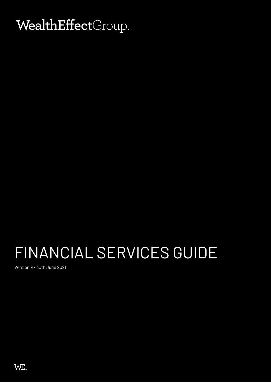# WealthEffectGroup.

# FINANCIAL SERVICES GUIDE

Version 9 - 30th June 2021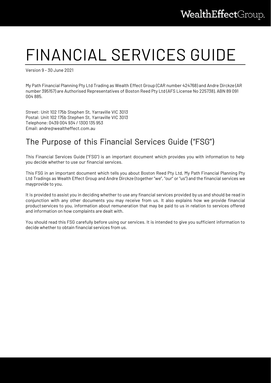# FINANCIAL SERVICES GUIDE

Version 9 – 30 June 2021

My Path Financial Planning Pty Ltd Trading as Wealth Effect Group (CAR number 424768) and Andre Dirckze (AR number 395157) are Authorised Representatives of Boston Reed Pty Ltd (AFS License No 225738), ABN 89 091 004 885.

Street: Unit 102 175b Stephen St, Yarraville VIC 3013 Postal: Unit 102 175b Stephen St, Yarraville VIC 3013 Telephone: 0439 004 934 / 1300 135 953 Email: [andre@wealtheffect.com.au](mailto:andre@wealtheffect.com.au)

# The Purpose of this Financial Services Guide ("FSG")

This Financial Services Guide ("FSG") is an important document which provides you with information to help you decide whether to use our financial services.

This FSG in an important document which tells you about Boston Reed Pty Ltd, My Path Financial Planning Pty Ltd Tradings as Wealth Effect Group and Andre Dirckze (together "we", "our" or "us") and the financial services we mayprovide to you.

It is provided to assist you in deciding whether to use any financial services provided by us and should be read in conjunction with any other documents you may receive from us. It also explains how we provide financial productservices to you, information about remuneration that may be paid to us in relation to services offered and information on how complaints are dealt with.

You should read this FSG carefully before using our services. It is intended to give you sufficient information to decide whether to obtain financial services from us.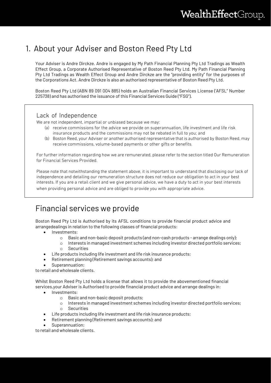## 1. About your Adviser and Boston Reed Pty Ltd

Your Adviser is Andre Dirckze. Andre is engaged by My Path Financial Planning Pty Ltd Tradings as Wealth Effect Group, a Corporate Authorised Representative of Boston Reed Pty Ltd. My Path Financial Planning Pty Ltd Tradings as Wealth Effect Group and Andre Dirckze are the "providing entity" for the purposes of the Corporations Act. Andre Dirckze is also an authorised representative of Boston Reed Pty Ltd.

Boston Reed Pty Ltd (ABN 89 091 004 885) holds an Australian Financial Services License ('AFSL" Number 225738) and has authorised the issuance of this Financial Services Guide ("FSG").

## Lack of Independence

We are not independent, impartial or unbiased because we may:

- (a) receive commissions for the advice we provide on superannuation, life investment and life risk insurance products and the commissions may not be rebated in full to you; and
- (b) Boston Reed, your Adviser or another authorised representative that is authorised by Boston Reed, may receive commissions, volume-based payments or other gifts or benefits.

For further information regarding how we are remunerated, please refer to the section titled Our Remuneration for Financial Services Provided.

Please note that notwithstanding the statement above, it is important to understand that disclosing our lack of independence and detailing our remuneration structure does not reduce our obligation to act in your best interests. If you are a retail client and we give personal advice, we have a duty to act in your best interests when providing personal advice and are obliged to provide you with appropriate advice.

## Financial services we provide

Boston Reed Pty Ltd is Authorised by its AFSL conditions to provide financial product advice and arrangedealings in relation to the following classes of financial products:

- Investments:
	- o Basic and non-basic deposit products (and non-cash products arrange dealings only);
	- o Interests in managed investment schemes including investor directed portfolio services;
	- o Securities
	- Life products including life investment and life risk insurance products;
- Retirement planning (Retirement savings accounts); and
- Superannuation:

to retail and wholesale clients.

Whilst Boston Reed Pty Ltd holds a license that allows it to provide the abovementioned financial services,your Adviser is Authorised to provide financial product advice and arrange dealings in:

- Investments:
	- o Basic and non-basic deposit products;
	- o Interests in managed investment schemes including investor directed portfolio services;
	- o Securities
- Life products including life investment and life risk insurance products;
- Retirement planning (Retirement savings accounts); and
- Superannuation;

to retail and wholesale clients.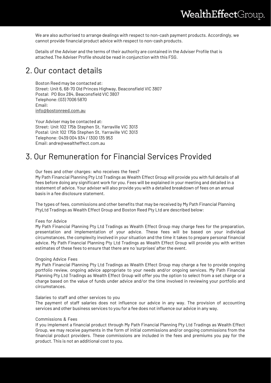We are also authorised to arrange dealings with respect to non-cash payment products. Accordingly, we cannot provide financial product advice with respect to non-cash products.

Details of the Adviser and the terms of their authority are contained in the Adviser Profile that is attached.The Adviser Profile should be read in conjunction with this FSG.

## 2. Our contact details

Boston Reed may be contacted at: Street: Unit 6, 68-70 Old Princes Highway, Beaconsfield VIC 3807 Postal: PO Box 284, Beaconsfield VIC 3807 Telephone: (03) 7006 5870 Email: [info@bostonreed.com.au](mailto:info@bostonreed.com.au)

Your Adviser may be contacted at: Street: Unit 102 175b Stephen St, Yarraville VIC 3013 Postal: Unit 102 175b Stephen St, Yarraville VIC 3013 Telephone: 0439 004 934 / 1300 135 953 Email: [andre@wealtheffect.com.au](mailto:andre@wealtheffect.com.au)

## 3. Our Remuneration for Financial Services Provided

Our fees and other charges: who receives the fees?

My Path Financial Planning Pty Ltd Tradings as Wealth Effect Group will provide you with full details of all fees before doing any significant work for you. Fees will be explained in your meeting and detailed in a statement of advice. Your adviser will also provide you with a detailed breakdown of fees on an annual basis in a fee disclosure statement.

The types of fees, commissions and other benefits that may be received by My Path Financial Planning PtyLtd Tradings as Wealth Effect Group and Boston Reed Pty Ltd are described below:

#### Fees for Advice

My Path Financial Planning Pty Ltd Tradings as Wealth Effect Group may charge fees for the preparation, presentation and implementation of your advice. These fees will be based on your individual circumstances, the complexity involved in your situation and the time it takes to prepare personal financial advice. My Path Financial Planning Pty Ltd Tradings as Wealth Effect Group will provide you with written estimates of these fees to ensure that there are no 'surprises' after the event.

#### Ongoing Advice Fees

My Path Financial Planning Pty Ltd Tradings as Wealth Effect Group may charge a fee to provide ongoing portfolio review, ongoing advice appropriate to your needs and/or ongoing services. My Path Financial Planning Pty Ltd Tradings as Wealth Effect Group will offer you the option to select from a set charge or a charge based on the value of funds under advice and/or the time involved in reviewing your portfolio and circumstances.

#### Salaries to staff and other services to you

The payment of staff salaries does not influence our advice in any way. The provision of accounting services and other business services to you for a fee does not influence our advice in any way.

#### Commissions & Fees

If you implement a financial product through My Path Financial Planning Pty Ltd Tradings as Wealth Effect Group, we may receive payments in the form of initial commissions and/or ongoing commissions from the financial product providers. These commissions are included in the fees and premiums you pay for the product. This is not an additional cost to you.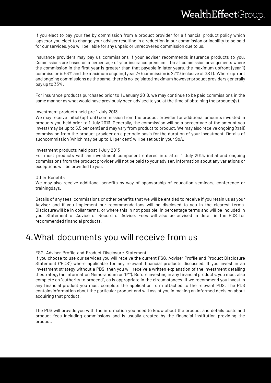If you elect to pay your fee by commission from a product provider for a financial product policy which lapsesor you elect to change your adviser resulting in a reduction in our commission or inability to be paid for our services, you will be liable for any unpaid or unrecovered commission due to us.

Insurance providers may pay us commissions if your adviser recommends insurance products to you. Commissions are based on a percentage of your insurance premium. On all commission arrangements where the commission in the first year is greater than that payable in later years, the maximum upfront (year 1) commission is 66% and the maximum ongoing (year 2+) commission is 22% (inclusive of GST). Where upfront and ongoing commissions ae the same, there is no legislated maximum however product providers generally pay up to 33%.

For insurance products purchased prior to 1 January 2018, we may continue to be paid commissions in the same manner as what would have previously been advised to you at the time of obtaining the products(s).

#### Investment products held pre 1 July 2013

We may receive initial (upfront) commission from the product provider for additional amounts invested in products you held prior to 1 July 2013. Generally, the commission will be a percentage of the amount you invest (may be up to 5.5 per cent) and may vary from product to product. We may also receive ongoing (trail) commission from the product provider on a periodic basis for the duration of your investment. Details of suchcommission (which may be up to 1.1 per cent) will be set out in your SoA.

#### Investment products held post 1 July 2013

For most products with an investment component entered into after 1 July 2013, initial and ongoing commissions from the product provider will not be paid to your adviser. Information about any variations or exceptions will be provided to you.

#### Other Benefits

We may also receive additional benefits by way of sponsorship of education seminars, conference or trainingdays.

Details of any fees, commissions or other benefits that we will be entitled to receive if you retain us as your Adviser and if you implement our recommendations will be disclosed to you in the clearest terms. Disclosurewill be in dollar terms, or where this in not possible, in percentage terms and will be included in your Statement of Advice or Record of Advice. Fees will also be advised in detail in the PDS for recommended financial products.

# 4.What documents you will receive from us

#### FSG, Adviser Profile and Product Disclosure Statement

If you choose to use our services you will receive the current FSG, Adviser Profile and Product Disclosure Statement ("PDS") where applicable for any relevant financial products discussed. If you invest in an investment strategy without a PDS, then you will receive a written explanation of the investment detailing thestrategy (an Information Memorandum or "IM"). Before investing in any financial products, you must also complete an "authority to proceed", as is appropriate in the circumstances. If we recommend you invest in any financial product you must complete the application form attached to the relevant PDS. The PDS containsinformation about the particular product and will assist you in making an informed decision about acquiring that product.

The PDS will provide you with the information you need to know about the product and details costs and product fees including commissions and is usually created by the financial institution providing the product.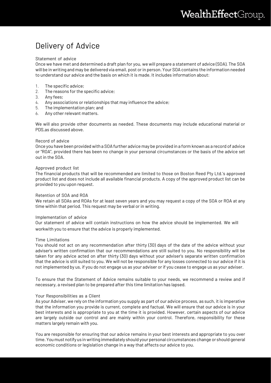# Delivery of Advice

#### Statement of advice

Once we have met and determined a draft plan for you, we will prepare a statement of advice (SOA). The SOA will be in writing and may be delivered via email, post orin person. Your SOA contains the information needed to understand our advice and the basis on which it is made. It includes information about:

- 1. The specific advice;
- 2. The reasons for the specific advice;
- 3. Any fees;
- 4. Any associations or relationships that may influence the advice;
- 5. The implementation plan; and
- 6. Any other relevant matters.

We will also provide other documents as needed. These documents may include educational material or PDS,as discussed above.

#### Record of advice

Once you have been provided with a SOA further advice may be provided in a form known as a record of advice or "ROA", provided there has been no change in your personal circumstances or the basis of the advice set out in the SOA.

#### Approved product list

The financial products that will be recommended are limited to those on Boston Reed Pty Ltd.'s approved product list and does not include all available financial products. A copy of the approved product list can be provided to you upon request.

#### Retention of SOA and ROA

We retain all SOAs and ROAs for at least seven years and you may request a copy of the SOA or ROA at any time within that period. This request may be verbal or in writing.

#### Implementation of advice

Our statement of advice will contain instructions on how the advice should be implemented. We will workwith you to ensure that the advice is properly implemented.

#### Time Limitations

You should not act on any recommendation after thirty (30) days of the date of the advice without your adviser's written confirmation that our recommendations are still suited to you. No responsibility will be taken for any advice acted on after thirty (30) days without your adviser's separate written confirmation that the advice is still suited to you. We will not be responsible for any losses connected to our advice if it is not implemented by us, if you do not engage us as your adviser or if you cease to engage us as your adviser.

To ensure that the Statement of Advice remains suitable to your needs, we recommend a review and if necessary, a revised plan to be prepared after this time limitation has lapsed.

#### Your Responsibilities as a Client

As your Adviser, we rely on the information you supply as part of our advice process, as such, it is imperative that the information you provide is current, complete and factual. We will ensure that our advice is in your best interests and is appropriate to you at the time it is provided. However, certain aspects of our advice are largely outside our control and are mainly within your control. Therefore, responsibility for these matters largely remain with you.

You are responsible for ensuring that our advice remains in your best interests and appropriate to you over time. You must notifyus in writing immediately should your personal circumstances change or should general economic conditions or legislation change in a way that affects our advice to you.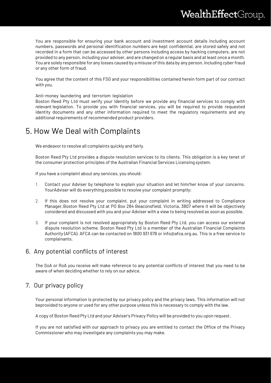You are responsible for ensuring your bank account and investment account details including account numbers, passwords and personal identification numbers are kept confidential, are stored safely and not recorded in a form that can be accessed by other persons including access by hacking computers, are not provided to any person, including your adviser, and are changed on a regular basis and atleast once a month. You are solely responsible for any losses caused by a misuse of this data by any person, including cyber fraud or any other form of fraud.

You agree that the content of this FSG and your responsibilities contained herein form part of our contract with you.

Anti-money laundering and terrorism legislation

Boston Reed Pty Ltd must verify your identity before we provide any financial services to comply with relevant legislation. To provide you with financial services, you will be required to provide requested identity documents and any other information required to meet the regulatory requirements and any additional requirements of recommended product providers.

## 5. How We Deal with Complaints

We endeavor to resolve all complaints quickly and fairly.

Boston Reed Pty Ltd provides a dispute resolution services to its clients. This obligation is a key tenet of the consumer protection principles of the Australian Financial Services Licensing system.

If you have a complaint about any services, you should:

- 1. Contact your Adviser by telephone to explain your situation and let him/her know of your concerns. YourAdviser will do everything possible to resolve your complaint promptly;
- 2. If this does not resolve your complaint, put your complaint in writing addressed to Compliance Manager,Boston Reed Pty Ltd at PO Box 284 Beaconsfield, Victoria, 3807 where it will be objectively considered and discussed with you and your Adviser with a view to being resolved as soon as possible.
- 3. If your complaint is not resolved appropriately by Boston Reed Pty Ltd, you can access our external dispute resolution scheme. Boston Reed Pty Ltd is a member of the Australian Financial Complaints Authority (AFCA). AFCA can be contacted on 1800 931 678 or [info@afca.org.au. T](mailto:info@afca.org.au)his is a free service to complainants.

## 6. Any potential conflicts of interest

The SoA or RoA you receive will make reference to any potential conflicts of interest that you need to be aware of when deciding whether to rely on our advice.

## 7. Our privacy policy

Your personal information is protected by our privacy policy and the privacy laws. This information will not beprovided to anyone or used for any other purpose unless this is necessary to comply with the law.

A copy of Boston Reed Pty Ltd and your Adviser's Privacy Policy will be provided to you upon request.

If you are not satisfied with our approach to privacy you are entitled to contact the Office of the Privacy Commissioner who may investigate any complaints you may make.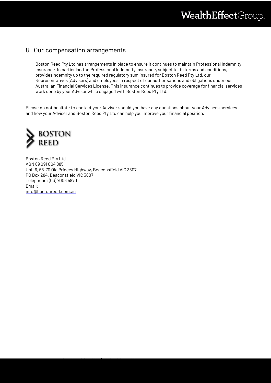## 8. Our compensation arrangements

Boston Reed Pty Ltd has arrangements in place to ensure it continues to maintain Professional Indemnity Insurance. In particular, the Professional Indemnity insurance, subject to its terms and conditions, providesindemnity up to the required regulatory sum insured for Boston Reed Pty Ltd, our Representatives (Advisers) and employees in respect of our authorisations and obligations under our Australian Financial Services License. This insurance continues to provide coverage for financial services work done by your Advisor while engaged with Boston Reed Pty Ltd.

Please do not hesitate to contact your Adviser should you have any questions about your Adviser's services and how your Adviser and Boston Reed Pty Ltd can help you improve your financial position.



Boston Reed Pty Ltd ABN 89 091 004 885 Unit 6, 68-70 Old Princes Highway, Beaconsfield VIC 3807 PO Box 284, Beaconsfield VIC 3807 Telephone: (03) 7006 5870 Email: [info@bostonreed.com.au](mailto:info@bostonreed.com.au)

Boston Reed Pty Ltd ACN 091 004 885 (AFSL 225738)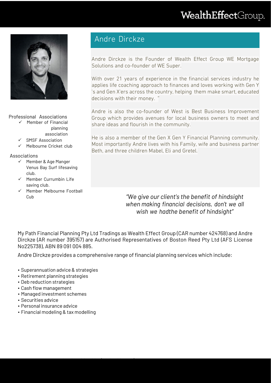# WealthEffectGroup.



Professional Associations

- $\checkmark$  Member of Financial planning association
	- $\checkmark$  SMSF Association
	- $\checkmark$  Melbourne Cricket club

Associations

- $\checkmark$  Member & Age Manger Venus Bay Surf lifesaving club.
- $\checkmark$  Member Currumbin Life saving club.
- $\checkmark$  Member Melbourne Football

## Andre Dirckze

Andre Dirckze is the Founder of Wealth Effect Group WE Mortgage Solutions and co-founder of WE Super.

With over 21 years of experience in the financial services industry he applies life coaching approach to finances and loves working with Gen Y 's and Gen X'ers across the country, helping them make smart, educated decisions with their money. "

Andre is also the co-founder of West is Best Business Improvement Group which provides avenues for local business owners to meet and share ideas and flourish in the community.

He is also a member of the Gen X Gen Y Financial Planning community. Most importantly Andre lives with his Family, wife and business partner Beth, and three children Mabel, Eli and Gretel.

Cub *"We give our client's the benefit of hindsight when making financial decisions, don't we all wish we hadthe benefit of hindsight"*

My Path Financial Planning Pty Ltd Tradings as Wealth Effect Group (CAR number 424768) and Andre Dirckze (AR number 395157) are Authorised Representatives of Boston Reed Pty Ltd (AFS License No225738), ABN 89 091 004 885.

Andre Dirckze provides a comprehensive range of financial planning services which include:

- Superannuation advice& strategies
- Retirement planning strategies
- Deb reduction strategies
- Cash flow management
- Managed investment schemes
- Securities advice
- Personal insurance advice
- Financial modeling & tax modelling

Boston Reed Pty Ltd ACN 091 004 885 (AFSL 225738)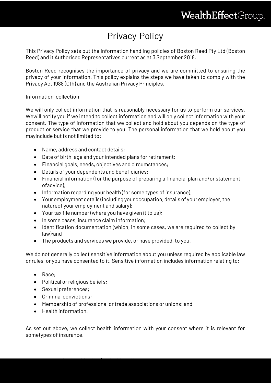# Privacy Policy

This Privacy Policy sets out the information handling policies of Boston Reed Pty Ltd (Boston Reed) and it Authorised Representatives current as at 3 September 2018.

Boston Reed recognises the importance of privacy and we are committed to ensuring the privacy of your information. This policy explains the steps we have taken to comply with the Privacy Act 1988 (Cth) and the Australian Privacy Principles.

## Information collection

We will only collect information that is reasonably necessary for us to perform our services. Wewill notify you if we intend to collect information and will only collect information with your consent. The type of information that we collect and hold about you depends on the type of product or service that we provide to you. The personal information that we hold about you mayinclude but is not limited to:

- Name, address and contact details:
- Date of birth, age and your intended plans for retirement;
- Financial goals, needs, objectives and circumstances;
- Details of your dependents and beneficiaries;
- Financial information (for the purpose of preparing a financial plan and/or statement ofadvice);
- Information regarding your health (for some types of insurance);
- Your employment details (including your occupation, details of your employer, the natureof your employment and salary);
- Your tax file number (where you have given it to us);
- In some cases, insurance claim information;
- Identification documentation (which, in some cases, we are required to collect by law);and
- The products and services we provide, or have provided, to you.

We do not generally collect sensitive information about you unless required by applicable law or rules, or you have consented to it. Sensitive information includes information relating to:

- Race;
- Political or religious beliefs;

Boston Reed Pty Ltd ACN 091 004 885 (AFSL 225738)

- Sexual preferences;
- Criminal convictions;
- Membership of professional or trade associations or unions; and
- Health information.

As set out above, we collect health information with your consent where it is relevant for sometypes of insurance.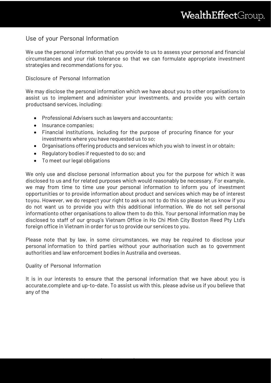## Use of your Personal Information

We use the personal information that you provide to us to assess your personal and financial circumstances and your risk tolerance so that we can formulate appropriate investment strategies and recommendations for you.

## Disclosure of Personal Information

We may disclose the personal information which we have about you to other organisations to assist us to implement and administer your investments, and provide you with certain productsand services, including:

- Professional Advisers such as lawyers and accountants;
- Insurance companies;
- Financial institutions, including for the purpose of procuring finance for your investments where you have requested us to so;
- Organisations offering products and services which you wish to invest in or obtain;
- Regulatory bodies if requested to do so; and
- To meet our legal obligations

We only use and disclose personal information about you for the purpose for which it was disclosed to us and for related purposes which would reasonably be necessary. For example, we may from time to time use your personal information to inform you of investment opportunities or to provide information about product and services which may be of interest toyou. However, we do respect your right to ask us not to do this so please let us know if you do not want us to provide you with this additional information. We do not sell personal informationto other organisations to allow them to do this. Your personal information may be disclosed to staff of our group's Vietnam Office in Ho Chi Minh City Boston Reed Pty Ltd's foreign office in Vietnam in order for us to provide our services to you.

Please note that by law, in some circumstances, we may be required to disclose your personal information to third parties without your authorisation such as to government authorities and law enforcement bodies in Australia and overseas.

### Quality of Personal Information

Boston Reed Pty Ltd ACN 091 004 885 (AFSL 225738)

It is in our interests to ensure that the personal information that we have about you is accurate,complete and up-to-date. To assist us with this, please advise us if you believe that any of the